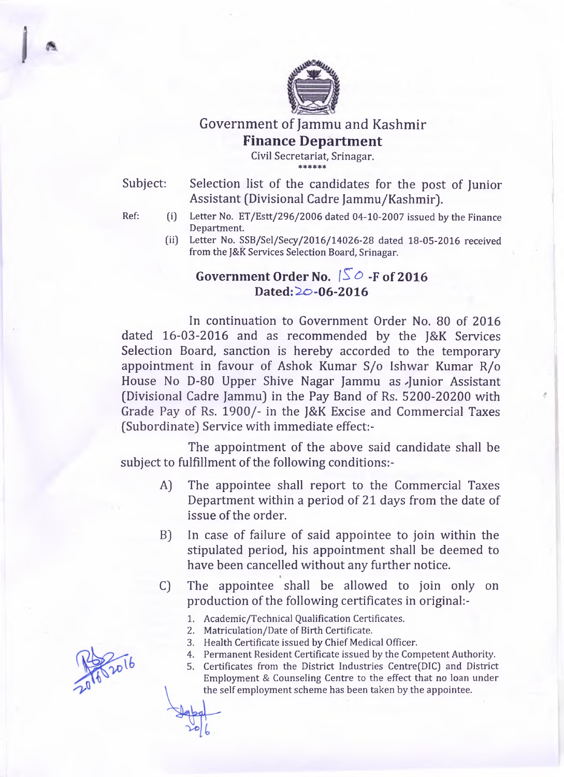

**Government of Jammu and Kashmir**

# **Finance Department**

**Civil Secretariat, Srinagar.** \* \* \* \* \* \*

Subject: Selection list of the candidates for the post of Junior Assistant (Divisional Cadre Jammu/Kashmir).

- **Ref: (i) Letter No. ET /E stt/296/2006 dated 04-10-2007 issued by the Finance Department.**
	- **(ii) Letter No. SSB/Sel/Secy/2016/14026-28 dated 18-05-2016 received from the J&K Services Selection Board, Srinagar.**

## Government Order No.  $\sqrt{S}$   $\circ$  -F of 2016 **Dated: ^0-06-2016**

In continuation to Government Order No. 80 of 2016 dated 16-03-2016 and as recommended by the J&K Services Selection Board, sanction is hereby accorded to the temporary appointment in favour of Ashok Kumar S/o Ishwar Kumar R/o House No D-80 Upper Shive Nagar Jammu as Junior Assistant (Divisional Cadre Jammu) in the Pay Band of Rs. 5200-20200 with Grade Pay of Rs. 1900/- in the J&K Excise and Commercial Taxes (Subordinate) Service with immediate effect:-

The appointment of the above said candidate shall be subject to fulfillment of the following conditions:-

- A) The appointee shall report to the Commercial Taxes Department within a period of 21 days from the date of issue of the order.
- B) In case of failure of said appointee to join within the stipulated period, his appointment shall be deemed to have been cancelled without any further notice.
- C) The appointee shall be allowed to join only on production of the following certificates in original:-
	- **1. Academic/Technical Qualification Certificates.**
	- **2. Matriculation/Date of Birth Certificate.**
	- **3. Health Certificate issued by Chief Medical Officer.**
	- **4. Permanent Resident Certificate issued by the Competent Authority.**
	- **5. Certificates from the District Industries Centre(DIC) and District Employment & Counseling Centre to the effect that no loan under the self employment scheme has been taken by the appointee.**